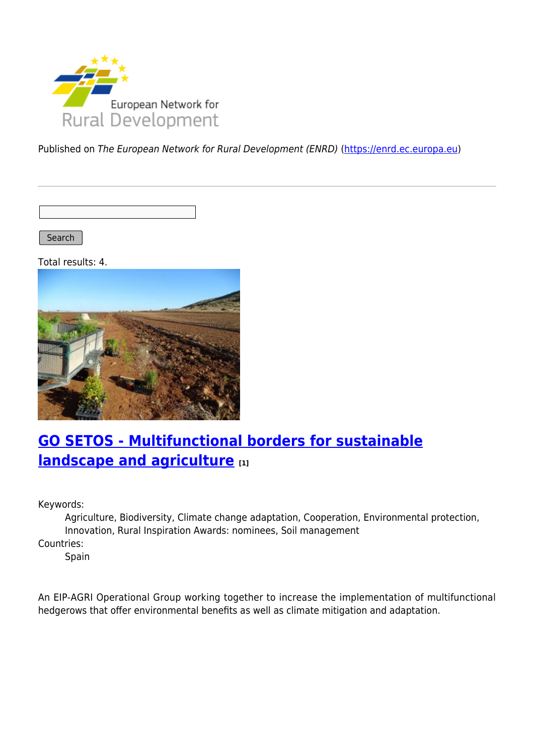

Published on The European Network for Rural Development (ENRD) [\(https://enrd.ec.europa.eu](https://enrd.ec.europa.eu))

Search |

Total results: 4.



# **[GO SETOS - Multifunctional borders for sustainable](https://enrd.ec.europa.eu/projects-practice/go-setos-multifunctional-borders-sustainable-landscape-and-agriculture_en) [landscape and agriculture](https://enrd.ec.europa.eu/projects-practice/go-setos-multifunctional-borders-sustainable-landscape-and-agriculture_en) [1]**

Keywords:

Agriculture, Biodiversity, Climate change adaptation, Cooperation, Environmental protection, Innovation, Rural Inspiration Awards: nominees, Soil management

Countries:

Spain

An EIP-AGRI Operational Group working together to increase the implementation of multifunctional hedgerows that offer environmental benefits as well as climate mitigation and adaptation.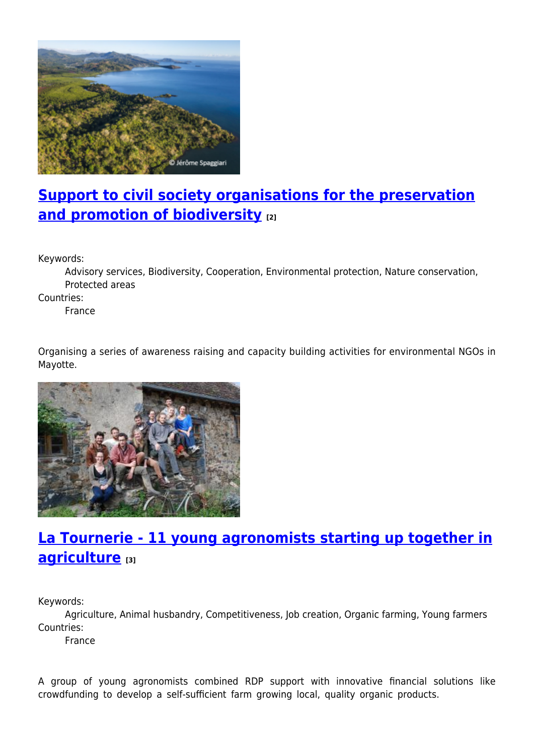

### **[Support to civil society organisations for the preservation](https://enrd.ec.europa.eu/projects-practice/support-civil-society-organisations-preservation-and-promotion-biodiversity_en) [and promotion of biodiversity](https://enrd.ec.europa.eu/projects-practice/support-civil-society-organisations-preservation-and-promotion-biodiversity_en) [2]**

Keywords:

Advisory services, Biodiversity, Cooperation, Environmental protection, Nature conservation, Protected areas

Countries:

France

Organising a series of awareness raising and capacity building activities for environmental NGOs in Mayotte.



### **[La Tournerie - 11 young agronomists starting up together in](https://enrd.ec.europa.eu/projects-practice/la-tournerie-11-young-agronomists-starting-together-agriculture_en) [agriculture](https://enrd.ec.europa.eu/projects-practice/la-tournerie-11-young-agronomists-starting-together-agriculture_en) [3]**

Keywords:

Agriculture, Animal husbandry, Competitiveness, Job creation, Organic farming, Young farmers Countries:

France

A group of young agronomists combined RDP support with innovative financial solutions like crowdfunding to develop a self-sufficient farm growing local, quality organic products.